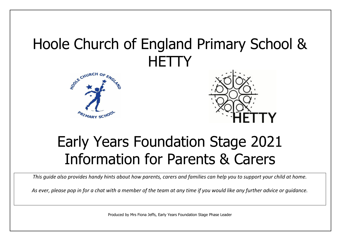# Hoole Church of England Primary School & **HETTY**





# Early Years Foundation Stage 2021 Information for Parents & Carers

*This guide also provides handy hints about how parents, carers and families can help you to support your child at home.*

*As ever, please pop in for a chat with a member of the team at any time if you would like any further advice or guidance.*

Produced by Mrs Fiona Jeffs, Early Years Foundation Stage Phase Leader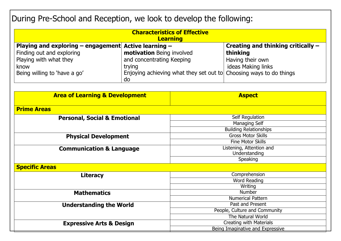During Pre-School and Reception, we look to develop the following:

| <b>Characteristics of Effective</b>                               |                                                              |                                                   |                                                |
|-------------------------------------------------------------------|--------------------------------------------------------------|---------------------------------------------------|------------------------------------------------|
| <b>Learning</b>                                                   |                                                              |                                                   |                                                |
| Playing and exploring $-$ engagement<br>Finding out and exploring | <b>Active learning -</b><br><b>motivation</b> Being involved |                                                   | Creating and thinking critically -<br>thinking |
| Playing with what they<br>know                                    | and concentrating Keeping<br>trying                          |                                                   | Having their own<br>ideas Making links         |
| Being willing to 'have a go'                                      | Enjoying achieving what they set out to<br>do                |                                                   | Choosing ways to do things                     |
| <b>Area of Learning &amp; Development</b>                         |                                                              | <b>Aspect</b>                                     |                                                |
| <b>Prime Areas</b>                                                |                                                              |                                                   |                                                |
| <b>Personal, Social &amp; Emotional</b>                           |                                                              | <b>Self Regulation</b>                            |                                                |
|                                                                   |                                                              | <b>Managing Self</b>                              |                                                |
|                                                                   |                                                              | <b>Building Relationships</b>                     |                                                |
| <b>Physical Development</b>                                       |                                                              | <b>Gross Motor Skills</b>                         |                                                |
|                                                                   |                                                              | <b>Fine Motor Skills</b>                          |                                                |
| <b>Communication &amp; Language</b>                               |                                                              | Listening, Attention and<br>Understanding         |                                                |
|                                                                   |                                                              | Speaking                                          |                                                |
| <b>Specific Areas</b>                                             |                                                              |                                                   |                                                |
| <b>Literacy</b>                                                   |                                                              | Comprehension                                     |                                                |
|                                                                   |                                                              | <b>Word Reading</b>                               |                                                |
|                                                                   |                                                              | Writing                                           |                                                |
| <b>Mathematics</b>                                                |                                                              | <b>Number</b>                                     |                                                |
|                                                                   |                                                              | <b>Numerical Pattern</b>                          |                                                |
| <b>Understanding the World</b>                                    |                                                              | Past and Present<br>People, Culture and Community |                                                |
|                                                                   |                                                              | The Natural World                                 |                                                |
|                                                                   |                                                              | Creating with Materials                           |                                                |
| <b>Expressive Arts &amp; Design</b>                               |                                                              |                                                   |                                                |

Being Imaginative and Expressive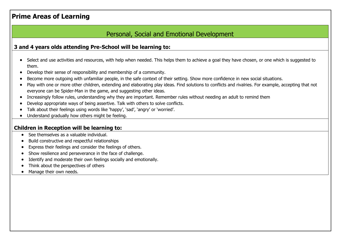# **Prime Areas of Learning**

# Personal, Social and Emotional Development

#### **3 and 4 years olds attending Pre-School will be learning to:**

- Select and use activities and resources, with help when needed. This helps them to achieve a goal they have chosen, or one which is suggested to them.
- Develop their sense of responsibility and membership of a community.
- Become more outgoing with unfamiliar people, in the safe context of their setting. Show more confidence in new social situations.
- Play with one or more other children, extending and elaborating play ideas. Find solutions to conflicts and rivalries. For example, accepting that not everyone can be Spider-Man in the game, and suggesting other ideas.
- Increasingly follow rules, understanding why they are important. Remember rules without needing an adult to remind them
- Develop appropriate ways of being assertive. Talk with others to solve conflicts.
- Talk about their feelings using words like 'happy', 'sad', 'angry' or 'worried'.
- Understand gradually how others might be feeling.

- See themselves as a valuable individual.
- Build constructive and respectful relationships
- Express their feelings and consider the feelings of others.
- Show resilience and perseverance in the face of challenge.
- Identify and moderate their own feelings socially and emotionally.
- Think about the perspectives of others
- Manage their own needs.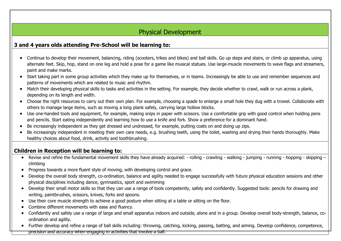# Physical Development

#### **3 and 4 years olds attending Pre-School will be learning to:**

- Continue to develop their movement, balancing, riding (scooters, trikes and bikes) and ball skills. Go up steps and stairs, or climb up apparatus, using alternate feet. Skip, hop, stand on one leg and hold a pose for a game like musical statues. Use large-muscle movements to wave flags and streamers, paint and make marks.
- Start taking part in some group activities which they make up for themselves, or in teams. Increasingly be able to use and remember sequences and patterns of movements which are related to music and rhythm.
- Match their developing physical skills to tasks and activities in the setting. For example, they decide whether to crawl, walk or run across a plank, depending on its length and width.
- Choose the right resources to carry out their own plan. For example, choosing a spade to enlarge a small hole they dug with a trowel. Collaborate with others to manage large items, such as moving a long plank safely, carrying large hollow blocks.
- Use one-handed tools and equipment, for example, making snips in paper with scissors. Use a comfortable grip with good control when holding pens and pencils. Start eating independently and learning how to use a knife and fork. Show a preference for a dominant hand.
- Be increasingly independent as they get dressed and undressed, for example, putting coats on and doing up zips.
- Be increasingly independent in meeting their own care needs, e.g. brushing teeth, using the toilet, washing and drying their hands thoroughly. Make healthy choices about food, drink, activity and toothbrushing.

#### **Children in Reception will be learning to:**

- Revise and refine the fundamental movement skills they have already acquired: rolling crawling walking jumping running hopping skipping climbing
- Progress towards a more fluent style of moving, with developing control and grace.
- Develop the overall body strength, co-ordination, balance and agility needed to engage successfully with future physical education sessions and other physical disciplines including dance, gymnastics, sport and swimming
- Develop their small motor skills so that they can use a range of tools competently, safely and confidently. Suggested tools: pencils for drawing and writing, paintbrushes, scissors, knives, forks and spoons.
- Use their core muscle strength to achieve a good posture when sitting at a table or sitting on the floor.
- Combine different movements with ease and fluency.
- Confidently and safely use a range of large and small apparatus indoors and outside, alone and in a group. Develop overall body-strength, balance, coordination and agility.
- Further develop and refine a range of ball skills including: throwing, catching, kicking, passing, batting, and aiming. Develop confidence, competence,

precision and accuracy when engaging in activities that involve a ball.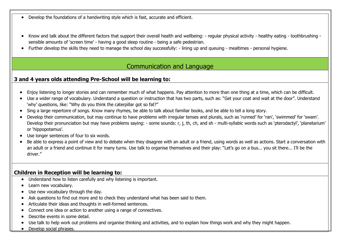- Develop the foundations of a handwriting style which is fast, accurate and efficient.
- Know and talk about the different factors that support their overall health and wellbeing: regular physical activity healthy eating toothbrushing sensible amounts of 'screen time' - having a good sleep routine - being a safe pedestrian.
- Further develop the skills they need to manage the school day successfully: lining up and queuing mealtimes personal hygiene.

### Communication and Language

#### **3 and 4 years olds attending Pre-School will be learning to:**

- Enjoy listening to longer stories and can remember much of what happens. Pay attention to more than one thing at a time, which can be difficult.
- Use a wider range of vocabulary. Understand a question or instruction that has two parts, such as: "Get your coat and wait at the door". Understand 'why' questions, like: "Why do you think the caterpillar got so fat?"
- Sing a large repertoire of songs. Know many rhymes, be able to talk about familiar books, and be able to tell a long story.
- Develop their communication, but may continue to have problems with irregular tenses and plurals, such as 'runned' for 'ran', 'swimmed' for 'swam'. Develop their pronunciation but may have problems saying: - some sounds: r, j, th, ch, and sh - multi-syllabic words such as 'pterodactyl', 'planetarium' or 'hippopotamus'.
- Use longer sentences of four to six words.
- Be able to express a point of view and to debate when they disagree with an adult or a friend, using words as well as actions. Start a conversation with an adult or a friend and continue it for many turns. Use talk to organise themselves and their play: "Let's go on a bus... you sit there... I'll be the driver."

- Understand how to listen carefully and why listening is important.
- Learn new vocabulary.
- Use new vocabulary through the day.
- Ask questions to find out more and to check they understand what has been said to them.
- Articulate their ideas and thoughts in well-formed sentences.
- Connect one idea or action to another using a range of connectives.
- Describe events in some detail.
- Use talk to help work out problems and organise thinking and activities, and to explain how things work and why they might happen.
- Develop social phrases.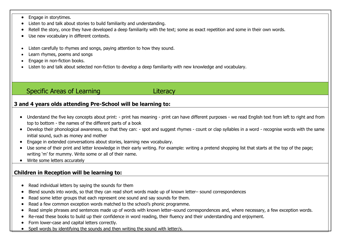- Engage in storytimes.
- Listen to and talk about stories to build familiarity and understanding.
- Retell the story, once they have developed a deep familiarity with the text; some as exact repetition and some in their own words.
- Use new vocabulary in different contexts.
- Listen carefully to rhymes and songs, paying attention to how they sound.
- Learn rhymes, poems and songs
- Engage in non-fiction books.
- Listen to and talk about selected non-fiction to develop a deep familiarity with new knowledge and vocabulary.

# Specific Areas of Learning The Literacy

#### **3 and 4 years olds attending Pre-School will be learning to:**

- Understand the five key concepts about print: print has meaning print can have different purposes we read English text from left to right and from top to bottom - the names of the different parts of a book
- Develop their phonological awareness, so that they can: spot and suggest rhymes count or clap syllables in a word recognise words with the same initial sound, such as money and mother
- Engage in extended conversations about stories, learning new vocabulary.
- Use some of their print and letter knowledge in their early writing. For example: writing a pretend shopping list that starts at the top of the page; writing 'm' for mummy. Write some or all of their name.
- Write some letters accurately

- Read individual letters by saying the sounds for them
- Blend sounds into words, so that they can read short words made up of known letter– sound correspondences
- Read some letter groups that each represent one sound and say sounds for them.
- Read a few common exception words matched to the school's phonic programme.
- Read simple phrases and sentences made up of words with known letter–sound correspondences and, where necessary, a few exception words.
- Re-read these books to build up their confidence in word reading, their fluency and their understanding and enjoyment.
- Form lower-case and capital letters correctly.
- Spell words by identifying the sounds and then writing the sound with letter/s.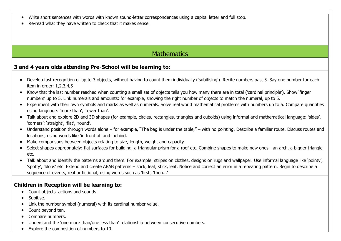Write short sentences with words with known sound-letter correspondences using a capital letter and full stop.

Re-read what they have written to check that it makes sense.

# **Mathematics**

#### **3 and 4 years olds attending Pre-School will be learning to:**

- Develop fast recognition of up to 3 objects, without having to count them individually ('subitising'). Recite numbers past 5. Say one number for each item in order: 1,2,3,4,5
- Know that the last number reached when counting a small set of objects tells you how many there are in total ('cardinal principle'). Show 'finger numbers' up to 5. Link numerals and amounts: for example, showing the right number of objects to match the numeral, up to 5.
- Experiment with their own symbols and marks as well as numerals. Solve real world mathematical problems with numbers up to 5. Compare quantities using language: 'more than', 'fewer than'.
- Talk about and explore 2D and 3D shapes (for example, circles, rectangles, triangles and cuboids) using informal and mathematical language: 'sides', 'corners'; 'straight', 'flat', 'round'.
- Understand position through words alone for example, "The bag is under the table," with no pointing. Describe a familiar route. Discuss routes and locations, using words like 'in front of' and 'behind.
- Make comparisons between objects relating to size, length, weight and capacity.
- Select shapes appropriately: flat surfaces for building, a triangular prism for a roof etc. Combine shapes to make new ones an arch, a bigger triangle etc.
- Talk about and identify the patterns around them. For example: stripes on clothes, designs on rugs and wallpaper. Use informal language like 'pointy', 'spotty', 'blobs' etc. Extend and create ABAB patterns – stick, leaf, stick, leaf. Notice and correct an error in a repeating pattern. Begin to describe a sequence of events, real or fictional, using words such as 'first', 'then...'

- Count objects, actions and sounds.
- **•** Subitise.
- Link the number symbol (numeral) with its cardinal number value.
- Count beyond ten.
- Compare numbers.
- Understand the 'one more than/one less than' relationship between consecutive numbers.
- Explore the composition of numbers to 10.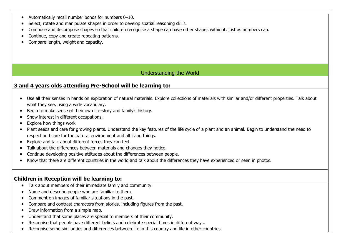- Automatically recall number bonds for numbers 0–10.
- Select, rotate and manipulate shapes in order to develop spatial reasoning skills.
- Compose and decompose shapes so that children recognise a shape can have other shapes within it, just as numbers can.
- Continue, copy and create repeating patterns.
- Compare length, weight and capacity.

#### Understanding the World

#### **3 and 4 years olds attending Pre-School will be learning to:**

- Use all their senses in hands on exploration of natural materials. Explore collections of materials with similar and/or different properties. Talk about what they see, using a wide vocabulary.
- Begin to make sense of their own life-story and family's history.
- Show interest in different occupations.
- Explore how things work.
- Plant seeds and care for growing plants. Understand the key features of the life cycle of a plant and an animal. Begin to understand the need to respect and care for the natural environment and all living things.
- Explore and talk about different forces they can feel.
- Talk about the differences between materials and changes they notice.
- Continue developing positive attitudes about the differences between people.
- Know that there are different countries in the world and talk about the differences they have experienced or seen in photos.

- Talk about members of their immediate family and community.
- Name and describe people who are familiar to them.
- Comment on images of familiar situations in the past.
- Compare and contrast characters from stories, including figures from the past.
- Draw information from a simple map.
- Understand that some places are special to members of their community.
- Recognise that people have different beliefs and celebrate special times in different ways.
- Recognise some similarities and differences between life in this country and life in other countries.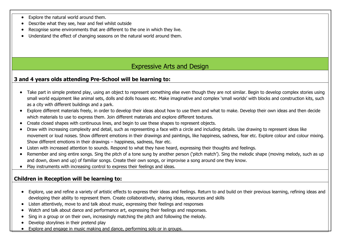- Explore the natural world around them.
- Describe what they see, hear and feel whilst outside
- Recognise some environments that are different to the one in which they live.
- Understand the effect of changing seasons on the natural world around them.

### Expressive Arts and Design

#### **3 and 4 years olds attending Pre-School will be learning to:**

- Take part in simple pretend play, using an object to represent something else even though they are not similar. Begin to develop complex stories using small world equipment like animal sets, dolls and dolls houses etc. Make imaginative and complex 'small worlds' with blocks and construction kits, such as a city with different buildings and a park.
- Explore different materials freely, in order to develop their ideas about how to use them and what to make. Develop their own ideas and then decide which materials to use to express them. Join different materials and explore different textures.
- Create closed shapes with continuous lines, and begin to use these shapes to represent objects.
- Draw with increasing complexity and detail, such as representing a face with a circle and including details. Use drawing to represent ideas like movement or loud noises. Show different emotions in their drawings and paintings, like happiness, sadness, fear etc. Explore colour and colour mixing. Show different emotions in their drawings – happiness, sadness, fear etc.
- Listen with increased attention to sounds. Respond to what they have heard, expressing their thoughts and feelings.
- Remember and sing entire songs. Sing the pitch of a tone sung by another person ('pitch match'). Sing the melodic shape (moving melody, such as up and down, down and up) of familiar songs. Create their own songs, or improvise a song around one they know.
- Play instruments with increasing control to express their feelings and ideas.

- Explore, use and refine a variety of artistic effects to express their ideas and feelings. Return to and build on their previous learning, refining ideas and developing their ability to represent them. Create collaboratively, sharing ideas, resources and skills
- Listen attentively, move to and talk about music, expressing their feelings and responses
- Watch and talk about dance and performance art, expressing their feelings and responses.
- Sing in a group or on their own, increasingly matching the pitch and following the melody.
- Develop storylines in their pretend play
- Explore and engage in music making and dance, performing solo or in groups.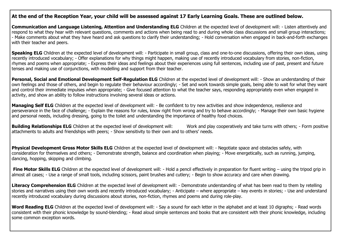#### **At the end of the Reception Year, your child will be assessed against 17 Early Learning Goals. These are outlined below.**

**Communication and Language Listening, Attention and Understanding ELG** Children at the expected level of development will: - Listen attentively and respond to what they hear with relevant questions, comments and actions when being read to and during whole class discussions and small group interactions; - Make comments about what they have heard and ask questions to clarify their understanding; - Hold conversation when engaged in back-and-forth exchanges with their teacher and peers.

**Speaking ELG** Children at the expected level of development will: - Participate in small group, class and one-to-one discussions, offering their own ideas, using recently introduced vocabulary; - Offer explanations for why things might happen, making use of recently introduced vocabulary from stories, non-fiction, rhymes and poems when appropriate; - Express their ideas and feelings about their experiences using full sentences, including use of past, present and future tenses and making use of conjunctions, with modelling and support from their teacher.

**Personal, Social and Emotional Development Self-Regulation ELG** Children at the expected level of development will: - Show an understanding of their own feelings and those of others, and begin to regulate their behaviour accordingly; - Set and work towards simple goals, being able to wait for what they want and control their immediate impulses when appropriate; - Give focused attention to what the teacher says, responding appropriately even when engaged in activity, and show an ability to follow instructions involving several ideas or actions.

**Managing Self ELG** Children at the expected level of development will: - Be confident to try new activities and show independence, resilience and perseverance in the face of challenge; - Explain the reasons for rules, know right from wrong and try to behave accordingly; - Manage their own basic hygiene and personal needs, including dressing, going to the toilet and understanding the importance of healthy food choices.

**Building Relationships ELG** Children at the expected level of development will: Work and play cooperatively and take turns with others; - Form positive attachments to adults and friendships with peers; - Show sensitivity to their own and to others' needs.

**Physical Development Gross Motor Skills ELG** Children at the expected level of development will: - Negotiate space and obstacles safely, with consideration for themselves and others; - Demonstrate strength, balance and coordination when playing; - Move energetically, such as running, jumping, dancing, hopping, skipping and climbing.

**Fine Motor Skills ELG** Children at the expected level of development will: - Hold a pencil effectively in preparation for fluent writing – using the tripod grip in almost all cases; - Use a range of small tools, including scissors, paint brushes and cutlery; - Begin to show accuracy and care when drawing.

**Literacy Comprehension ELG** Children at the expected level of development will: - Demonstrate understanding of what has been read to them by retelling stories and narratives using their own words and recently introduced vocabulary; - Anticipate – where appropriate – key events in stories; - Use and understand recently introduced vocabulary during discussions about stories, non-fiction, rhymes and poems and during role-play.

**Word Reading ELG** Children at the expected level of development will: - Say a sound for each letter in the alphabet and at least 10 digraphs; - Read words consistent with their phonic knowledge by sound-blending; - Read aloud simple sentences and books that are consistent with their phonic knowledge, including some common exception words.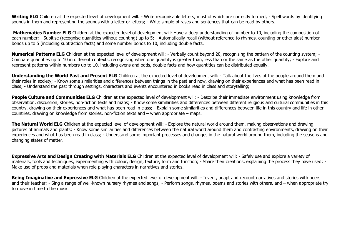Writing ELG Children at the expected level of development will: - Write recognisable letters, most of which are correctly formed; - Spell words by identifying sounds in them and representing the sounds with a letter or letters; - Write simple phrases and sentences that can be read by others.

**Mathematics Number ELG** Children at the expected level of development will: Have a deep understanding of number to 10, including the composition of each number; - Subitise (recognise quantities without counting) up to 5; - Automatically recall (without reference to rhymes, counting or other aids) number bonds up to 5 (including subtraction facts) and some number bonds to 10, including double facts.

**Numerical Patterns ELG** Children at the expected level of development will: - Verbally count beyond 20, recognising the pattern of the counting system; -Compare quantities up to 10 in different contexts, recognising when one quantity is greater than, less than or the same as the other quantity; - Explore and represent patterns within numbers up to 10, including evens and odds, double facts and how quantities can be distributed equally.

**Understanding the World Past and Present ELG** Children at the expected level of development will: - Talk about the lives of the people around them and their roles in society; - Know some similarities and differences between things in the past and now, drawing on their experiences and what has been read in class; - Understand the past through settings, characters and events encountered in books read in class and storytelling;

**People Culture and Communities ELG** Children at the expected level of development will: - Describe their immediate environment using knowledge from observation, discussion, stories, non-fiction texts and maps; - Know some similarities and differences between different religious and cultural communities in this country, drawing on their experiences and what has been read in class; - Explain some similarities and differences between life in this country and life in other countries, drawing on knowledge from stories, non-fiction texts and – when appropriate – maps.

**The Natural World ELG** Children at the expected level of development will: - Explore the natural world around them, making observations and drawing pictures of animals and plants; - Know some similarities and differences between the natural world around them and contrasting environments, drawing on their experiences and what has been read in class; - Understand some important processes and changes in the natural world around them, including the seasons and changing states of matter.

**Expressive Arts and Design Creating with Materials ELG** Children at the expected level of development will: - Safely use and explore a variety of materials, tools and techniques, experimenting with colour, design, texture, form and function; - Share their creations, explaining the process they have used; - Make use of props and materials when role playing characters in narratives and stories.

**Being Imaginative and Expressive ELG** Children at the expected level of development will: - Invent, adapt and recount narratives and stories with peers and their teacher; - Sing a range of well-known nursery rhymes and songs; - Perform songs, rhymes, poems and stories with others, and – when appropriate try to move in time to the music.